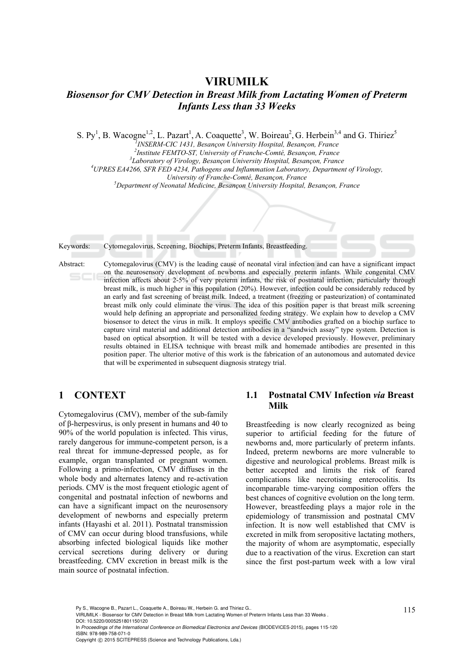# **VIRUMILK**  *Biosensor for CMV Detection in Breast Milk from Lactating Women of Preterm Infants Less than 33 Weeks*

S. Py<sup>1</sup>, B. Wacogne<sup>1,2</sup>, L. Pazart<sup>1</sup>, A. Coaquette<sup>3</sup>, W. Boireau<sup>2</sup>, G. Herbein<sup>3,4</sup> and G. Thiriez<sup>5</sup>

*1 INSERM-CIC 1431, Besançon University Hospital, Besançon, France 2*

<sup>2</sup> Institute FEMTO-ST, University of Franche-Comté, Besançon, France

*Laboratory of Virology, Besançon University Hospital, Besançon, France 4*

*UPRES EA4266, SFR FED 4234, Pathogens and Inflammation Laboratory, Department of Virology,* 

*University of Franche-Comté, Besançon, France* 

*Department of Neonatal Medicine, Besançon University Hospital, Besançon, France* 

Keywords: Cytomegalovirus, Screening, Biochips, Preterm Infants, Breastfeeding.

Abstract: Cytomegalovirus (CMV) is the leading cause of neonatal viral infection and can have a significant impact on the neurosensory development of newborns and especially preterm infants. While congenital CMV infection affects about 2-5% of very preterm infants, the risk of postnatal infection, particularly through breast milk, is much higher in this population (20%). However, infection could be considerably reduced by an early and fast screening of breast milk. Indeed, a treatment (freezing or pasteurization) of contaminated breast milk only could eliminate the virus. The idea of this position paper is that breast milk screening would help defining an appropriate and personalized feeding strategy. We explain how to develop a CMV biosensor to detect the virus in milk. It employs specific CMV antibodies grafted on a biochip surface to capture viral material and additional detection antibodies in a "sandwich assay" type system. Detection is based on optical absorption. It will be tested with a device developed previously. However, preliminary results obtained in ELISA technique with breast milk and homemade antibodies are presented in this position paper. The ulterior motive of this work is the fabrication of an autonomous and automated device that will be experimented in subsequent diagnosis strategy trial.

# **1 CONTEXT**

Cytomegalovirus (CMV), member of the sub-family of β-herpesvirus, is only present in humans and 40 to 90% of the world population is infected. This virus, rarely dangerous for immune-competent person, is a real threat for immune-depressed people, as for example, organ transplanted or pregnant women. Following a primo-infection, CMV diffuses in the whole body and alternates latency and re-activation periods. CMV is the most frequent etiologic agent of congenital and postnatal infection of newborns and can have a significant impact on the neurosensory development of newborns and especially preterm infants (Hayashi et al. 2011). Postnatal transmission of CMV can occur during blood transfusions, while absorbing infected biological liquids like mother cervical secretions during delivery or during breastfeeding. CMV excretion in breast milk is the main source of postnatal infection.

## **1.1 Postnatal CMV Infection** *via* **Breast Milk**

Breastfeeding is now clearly recognized as being superior to artificial feeding for the future of newborns and, more particularly of preterm infants. Indeed, preterm newborns are more vulnerable to digestive and neurological problems. Breast milk is better accepted and limits the risk of feared complications like necrotising enterocolitis. Its incomparable time-varying composition offers the best chances of cognitive evolution on the long term. However, breastfeeding plays a major role in the epidemiology of transmission and postnatal CMV infection. It is now well established that CMV is excreted in milk from seropositive lactating mothers, the majority of whom are asymptomatic, especially due to a reactivation of the virus. Excretion can start since the first post-partum week with a low viral

In *Proceedings of the International Conference on Biomedical Electronics and Devices* (BIODEVICES-2015), pages 115-120 ISBN: 978-989-758-071-0

Py S., Wacogne B., Pazart L., Coaquette A., Boireau W., Herbein G. and Thiriez G..<br>VIRUMILK - Biosensor for CMV Detection in Breast Milk from Lactating Women of Preterm Infants Less than 33 Weeks . DOI: 10.5220/0005251801150120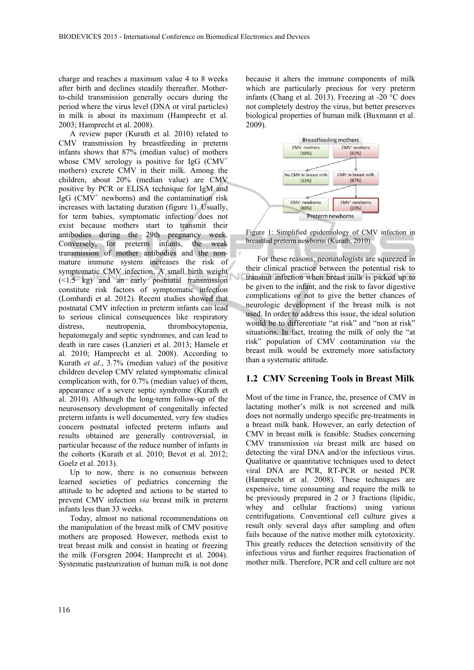charge and reaches a maximum value 4 to 8 weeks after birth and declines steadily thereafter. Motherto-child transmission generally occurs during the period where the virus level (DNA or viral particles) in milk is about its maximum (Hamprecht et al. 2003; Hamprecht et al. 2008).

A review paper (Kurath et al. 2010) related to CMV transmission by breastfeeding in preterm infants shows that 87% (median value) of mothers whose CMV serology is positive for IgG  $(CMV^+)$ mothers) excrete CMV in their milk. Among the children, about 20% (median value) are CMV positive by PCR or ELISA technique for IgM and  $\overline{I}$ gG (CMV<sup>+</sup> newborns) and the contamination risk increases with lactating duration (figure 1). Usually, for term babies, symptomatic infection does not exist because mothers start to transmit their antibodies during the 29th pregnancy week. Conversely, for preterm infants, the weak transmission of mother antibodies and the nonmature immune system increases the risk of symptomatic CMV infection. A small birth weight (<1.5 kg) and an early postnatal transmission constitute risk factors of symptomatic infection (Lombardi et al. 2012). Recent studies showed that postnatal CMV infection in preterm infants can lead to serious clinical consequences like respiratory distress, neutropenia, thrombocytopenia, hepatomegaly and septic syndromes, and can lead to death in rare cases (Lanzieri et al. 2013; Hamele et al. 2010; Hamprecht et al. 2008). According to Kurath *et al*., 3.7% (median value) of the positive children develop CMV related symptomatic clinical complication with, for 0.7% (median value) of them, appearance of a severe septic syndrome (Kurath et al. 2010). Although the long-term follow-up of the neurosensory development of congenitally infected preterm infants is well documented, very few studies concern postnatal infected preterm infants and results obtained are generally controversial, in particular because of the reduce number of infants in the cohorts (Kurath et al. 2010; Bevot et al. 2012; Goelz et al. 2013).

Up to now, there is no consensus between learned societies of pediatrics concerning the attitude to be adopted and actions to be started to prevent CMV infection *via* breast milk in preterm infants less than 33 weeks.

Today, almost no national recommendations on the manipulation of the breast milk of CMV positive mothers are proposed. However, methods exist to treat breast milk and consist in heating or freezing the milk (Forsgren 2004; Hamprecht et al. 2004). Systematic pasteurization of human milk is not done

because it alters the immune components of milk which are particularly precious for very preterm infants (Chang et al. 2013). Freezing at -20 °C does not completely destroy the virus, but better preserves biological properties of human milk (Buxmann et al. 2009).



Figure 1: Simplified epidemiology of CMV infection in breastfed preterm newborns (Kurath, 2010).

For these reasons, neonatologists are squeezed in their clinical practice between the potential risk to transmit infection when breast milk is picked up to be given to the infant, and the risk to favor digestive complications or not to give the better chances of neurologic development if the breast milk is not used. In order to address this issue, the ideal solution would be to differentiate "at risk" and "non at risk" situations. In fact, treating the milk of only the "at risk" population of CMV contamination *via* the breast milk would be extremely more satisfactory than a systematic attitude.

#### **1.2 CMV Screening Tools in Breast Milk**

Most of the time in France, the, presence of CMV in lactating mother's milk is not screened and milk does not normally undergo specific pre-treatments in a breast milk bank. However, an early detection of CMV in breast milk is feasible. Studies concerning CMV transmission *via* breast milk are based on detecting the viral DNA and/or the infectious virus. Qualitative or quantitative techniques used to detect viral DNA are PCR, RT-PCR or nested PCR (Hamprecht et al. 2008). These techniques are expensive, time consuming and require the milk to be previously prepared in 2 or 3 fractions (lipidic, whey and cellular fractions) using various centrifugations. Conventional cell culture gives a result only several days after sampling and often fails because of the native mother milk cytotoxicity. This greatly reduces the detection sensitivity of the infectious virus and further requires fractionation of mother milk. Therefore, PCR and cell culture are not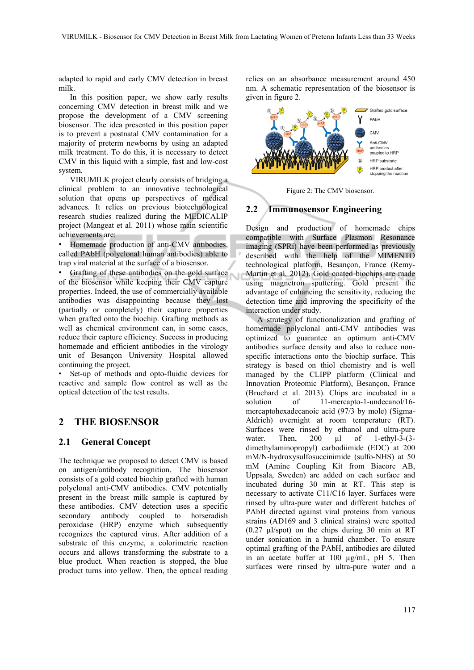adapted to rapid and early CMV detection in breast milk.

In this position paper, we show early results concerning CMV detection in breast milk and we propose the development of a CMV screening biosensor. The idea presented in this position paper is to prevent a postnatal CMV contamination for a majority of preterm newborns by using an adapted milk treatment. To do this, it is necessary to detect CMV in this liquid with a simple, fast and low-cost system.

VIRUMILK project clearly consists of bridging a clinical problem to an innovative technological solution that opens up perspectives of medical advances. It relies on previous biotechnological research studies realized during the MEDICALIP project (Mangeat et al. 2011) whose main scientific achievements are:

• Homemade production of anti-CMV antibodies, called PAbH (polyclonal human antibodies) able to trap viral material at the surface of a biosensor.

• Grafting of these antibodies on the gold surface of the biosensor while keeping their CMV capture properties. Indeed, the use of commercially available antibodies was disappointing because they lost (partially or completely) their capture properties when grafted onto the biochip. Grafting methods as well as chemical environment can, in some cases, reduce their capture efficiency. Success in producing homemade and efficient antibodies in the virology unit of Besançon University Hospital allowed continuing the project.

Set-up of methods and opto-fluidic devices for reactive and sample flow control as well as the optical detection of the test results.

## **2 THE BIOSENSOR**

### **2.1 General Concept**

The technique we proposed to detect CMV is based on antigen/antibody recognition. The biosensor consists of a gold coated biochip grafted with human polyclonal anti-CMV antibodies. CMV potentially present in the breast milk sample is captured by these antibodies. CMV detection uses a specific secondary antibody coupled to horseradish peroxidase (HRP) enzyme which subsequently recognizes the captured virus. After addition of a substrate of this enzyme, a colorimetric reaction occurs and allows transforming the substrate to a blue product. When reaction is stopped, the blue product turns into yellow. Then, the optical reading relies on an absorbance measurement around 450 nm. A schematic representation of the biosensor is given in figure 2.



Figure 2: The CMV biosensor.

### **2.2 Immunosensor Engineering**

Design and production of homemade chips compatible with Surface Plasmon Resonance imaging (SPRi) have been performed as previously described with the help of the MIMENTO technological platform, Besançon, France (Remy-Martin et al. 2012). Gold coated biochips are made using magnetron sputtering. Gold present the advantage of enhancing the sensitivity, reducing the detection time and improving the specificity of the interaction under study.

A strategy of functionalization and grafting of homemade polyclonal anti-CMV antibodies was optimized to guarantee an optimum anti-CMV antibodies surface density and also to reduce nonspecific interactions onto the biochip surface. This strategy is based on thiol chemistry and is well managed by the CLIPP platform (Clinical and Innovation Proteomic Platform), Besançon, France (Bruchard et al. 2013). Chips are incubated in a solution of 11-mercapto-1-undecanol/16mercaptohexadecanoic acid (97/3 by mole) (Sigma-Aldrich) overnight at room temperature (RT). Surfaces were rinsed by ethanol and ultra-pure<br>water. Then, 200 µl of 1-ethvl-3-(3water. Then,  $200 \text{ µl}$  of 1-ethyl-3-(3dimethylaminopropyl) carbodiimide (EDC) at 200 mM/N-hydroxysulfosuccinimide (sulfo-NHS) at 50 mM (Amine Coupling Kit from Biacore AB, Uppsala, Sweden) are added on each surface and incubated during 30 min at RT. This step is necessary to activate C11/C16 layer. Surfaces were rinsed by ultra-pure water and different batches of PAbH directed against viral proteins from various strains (AD169 and 3 clinical strains) were spotted (0.27 µl/spot) on the chips during 30 min at RT under sonication in a humid chamber. To ensure optimal grafting of the PAbH, antibodies are diluted in an acetate buffer at 100 µg/mL, pH 5. Then surfaces were rinsed by ultra-pure water and a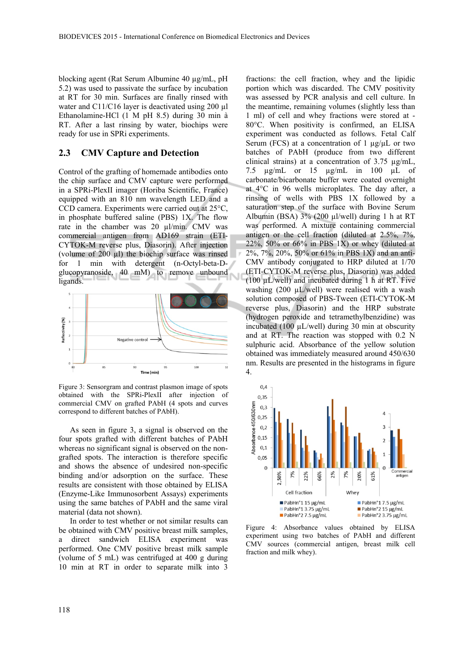blocking agent (Rat Serum Albumine 40 µg/mL, pH 5.2) was used to passivate the surface by incubation at RT for 30 min. Surfaces are finally rinsed with water and C11/C16 layer is deactivated using 200 µl Ethanolamine-HCl (1 M pH 8.5) during 30 min à RT. After a last rinsing by water, biochips were ready for use in SPRi experiments.

#### **2.3 CMV Capture and Detection**

Control of the grafting of homemade antibodies onto the chip surface and CMV capture were performed in a SPRi-PlexII imager (Horiba Scientific, France) equipped with an 810 nm wavelength LED and a CCD camera. Experiments were carried out at 25°C, in phosphate buffered saline (PBS) 1X. The flow rate in the chamber was 20 µl/min. CMV was commercial antigen from AD169 strain (ETI-CYTOK-M reverse plus, Diasorin). After injection (volume of  $200 \mu l$ ) the biochip surface was rinsed for 1 min with detergent (n-Octyl-beta-Dglucopyranoside, 40 mM) to remove unbound ligands.



Figure 3: Sensorgram and contrast plasmon image of spots obtained with the SPRi-PlexII after injection of commercial CMV on grafted PAbH (4 spots and curves correspond to different batches of PAbH).

As seen in figure 3, a signal is observed on the four spots grafted with different batches of PAbH whereas no significant signal is observed on the nongrafted spots. The interaction is therefore specific and shows the absence of undesired non-specific binding and/or adsorption on the surface. These results are consistent with those obtained by ELISA (Enzyme-Like Immunosorbent Assays) experiments using the same batches of PAbH and the same viral material (data not shown).

In order to test whether or not similar results can be obtained with CMV positive breast milk samples, a direct sandwich ELISA experiment was performed. One CMV positive breast milk sample (volume of 5 mL) was centrifuged at 400 g during 10 min at RT in order to separate milk into 3

fractions: the cell fraction, whey and the lipidic portion which was discarded. The CMV positivity was assessed by PCR analysis and cell culture. In the meantime, remaining volumes (slightly less than 1 ml) of cell and whey fractions were stored at - 80°C. When positivity is confirmed, an ELISA experiment was conducted as follows. Fetal Calf Serum (FCS) at a concentration of 1  $\mu$ g/ $\mu$ L or two batches of PAbH (produce from two different clinical strains) at a concentration of 3.75 µg/mL, 7.5 µg/mL or 15 µg/mL in 100 µL of carbonate/bicarbonate buffer were coated overnight at 4°C in 96 wells microplates. The day after, a rinsing of wells with PBS 1X followed by a saturation step of the surface with Bovine Serum Albumin (BSA) 3% (200 µl/well) during 1 h at RT was performed. A mixture containing commercial antigen or the cell fraction (diluted at 2.5%, 7%, 22%, 50% or 66% in PBS  $1X$ ) or whey (diluted at 2%, 7%, 20%, 50% or 61% in PBS 1X) and an anti-CMV antibody conjugated to HRP diluted at 1/70 (ETI-CYTOK-M reverse plus, Diasorin) was added (100 µL/well) and incubated during 1 h at RT. Five washing (200 µL/well) were realised with a wash solution composed of PBS-Tween (ETI-CYTOK-M reverse plus, Diasorin) and the HRP substrate (hydrogen peroxide and tetramethylbenzidine) was incubated (100 µL/well) during 30 min at obscurity and at RT. The reaction was stopped with 0.2 N sulphuric acid. Absorbance of the yellow solution obtained was immediately measured around 450/630 nm. Results are presented in the histograms in figure 4.



Figure 4: Absorbance values obtained by ELISA experiment using two batches of PAbH and different CMV sources (commercial antigen, breast milk cell fraction and milk whey).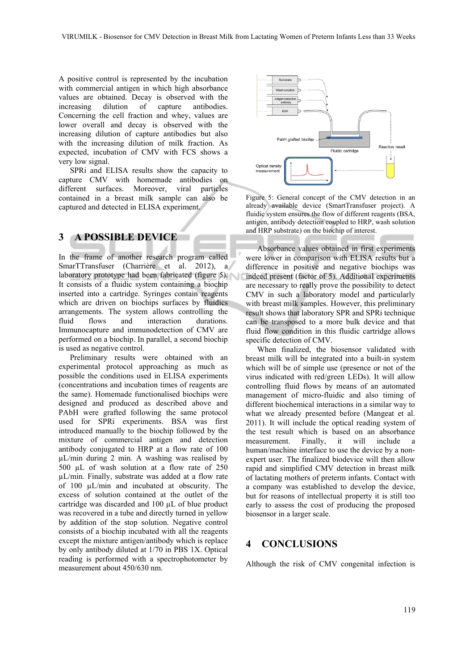A positive control is represented by the incubation with commercial antigen in which high absorbance values are obtained. Decay is observed with the increasing dilution of capture antibodies. Concerning the cell fraction and whey, values are lower overall and decay is observed with the increasing dilution of capture antibodies but also with the increasing dilution of milk fraction. As expected, incubation of CMV with FCS shows a very low signal.

SPRi and ELISA results show the capacity to capture CMV with homemade antibodies on different surfaces. Moreover, viral particles contained in a breast milk sample can also be captured and detected in ELISA experiment.

## **3 A POSSIBLE DEVICE**

In the frame of another research program called SmarTTransfuser (Charrière et al. 2012), a laboratory prototype had been fabricated (figure 5). It consists of a fluidic system containing a biochip inserted into a cartridge. Syringes contain reagents which are driven on biochips surfaces by fluidics arrangements. The system allows controlling the fluid flows and interaction durations. Immunocapture and immunodetection of CMV are performed on a biochip. In parallel, a second biochip is used as negative control.

Preliminary results were obtained with an experimental protocol approaching as much as possible the conditions used in ELISA experiments (concentrations and incubation times of reagents are the same). Homemade functionalised biochips were designed and produced as described above and PAbH were grafted following the same protocol used for SPRi experiments. BSA was first introduced manually to the biochip followed by the mixture of commercial antigen and detection antibody conjugated to HRP at a flow rate of 100 µL/min during 2 min. A washing was realised by 500 µL of wash solution at a flow rate of 250 µL/min. Finally, substrate was added at a flow rate of 100 µL/min and incubated at obscurity. The excess of solution contained at the outlet of the cartridge was discarded and 100 µL of blue product was recovered in a tube and directly turned in yellow by addition of the stop solution. Negative control consists of a biochip incubated with all the reagents except the mixture antigen/antibody which is replace by only antibody diluted at 1/70 in PBS 1X. Optical reading is performed with a spectrophotometer by measurement about 450/630 nm.



Figure 5: General concept of the CMV detection in an already available device (SmartTransfuser project). A fluidic system ensures the flow of different reagents (BSA, antigen, antibody detection coupled to HRP, wash solution and HRP substrate) on the biochip of interest.

Absorbance values obtained in first experiments were lower in comparison with ELISA results but a difference in positive and negative biochips was indeed present (factor of 5). Additional experiments are necessary to really prove the possibility to detect CMV in such a laboratory model and particularly with breast milk samples. However, this preliminary result shows that laboratory SPR and SPRi technique can be transposed to a more bulk device and that fluid flow condition in this fluidic cartridge allows specific detection of CMV.

When finalized, the biosensor validated with breast milk will be integrated into a built-in system which will be of simple use (presence or not of the virus indicated with red/green LEDs). It will allow controlling fluid flows by means of an automated management of micro-fluidic and also timing of different biochemical interactions in a similar way to what we already presented before (Mangeat et al. 2011). It will include the optical reading system of the test result which is based on an absorbance measurement. Finally, it will include a human/machine interface to use the device by a nonexpert user. The finalized biodevice will then allow rapid and simplified CMV detection in breast milk of lactating mothers of preterm infants. Contact with a company was established to develop the device, but for reasons of intellectual property it is still too early to assess the cost of producing the proposed biosensor in a larger scale.

## **4 CONCLUSIONS**

Although the risk of CMV congenital infection is